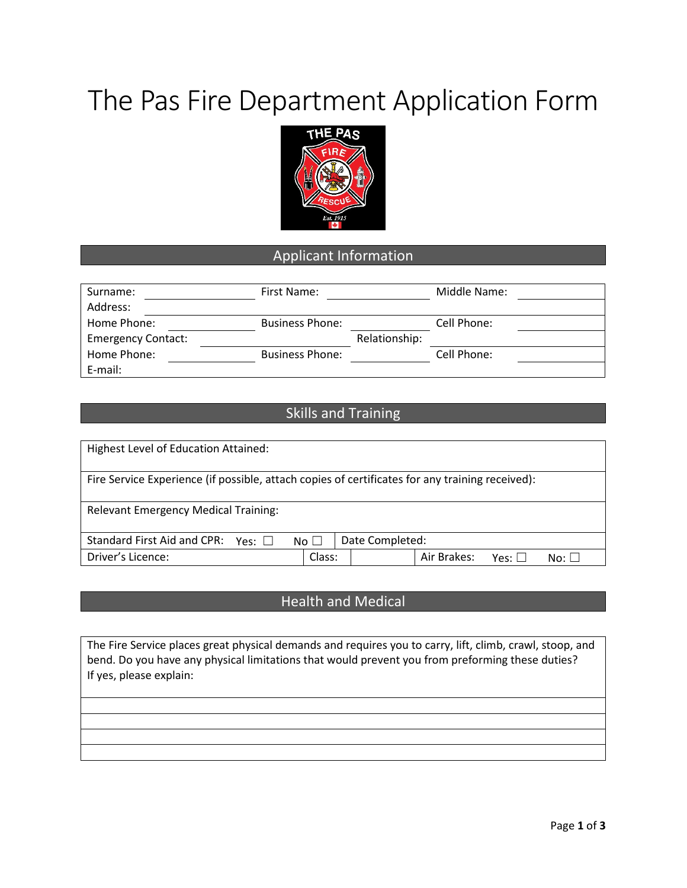# The Pas Fire Department Application Form



#### Applicant Information

| Surname:                  | First Name:            |               | Middle Name: |
|---------------------------|------------------------|---------------|--------------|
| Address:                  |                        |               |              |
| Home Phone:               | <b>Business Phone:</b> |               | Cell Phone:  |
| <b>Emergency Contact:</b> |                        | Relationship: |              |
| Home Phone:               | <b>Business Phone:</b> |               | Cell Phone:  |
| E-mail:                   |                        |               |              |

#### Skills and Training

| Highest Level of Education Attained:                                                            |              |                 |             |             |            |
|-------------------------------------------------------------------------------------------------|--------------|-----------------|-------------|-------------|------------|
| Fire Service Experience (if possible, attach copies of certificates for any training received): |              |                 |             |             |            |
| <b>Relevant Emergency Medical Training:</b>                                                     |              |                 |             |             |            |
| Standard First Aid and CPR: Yes: $\square$                                                      | No $\square$ | Date Completed: |             |             |            |
| Driver's Licence:                                                                               | Class:       |                 | Air Brakes: | Yes: $\Box$ | $No: \Box$ |

#### Health and Medical

The Fire Service places great physical demands and requires you to carry, lift, climb, crawl, stoop, and bend. Do you have any physical limitations that would prevent you from preforming these duties? If yes, please explain: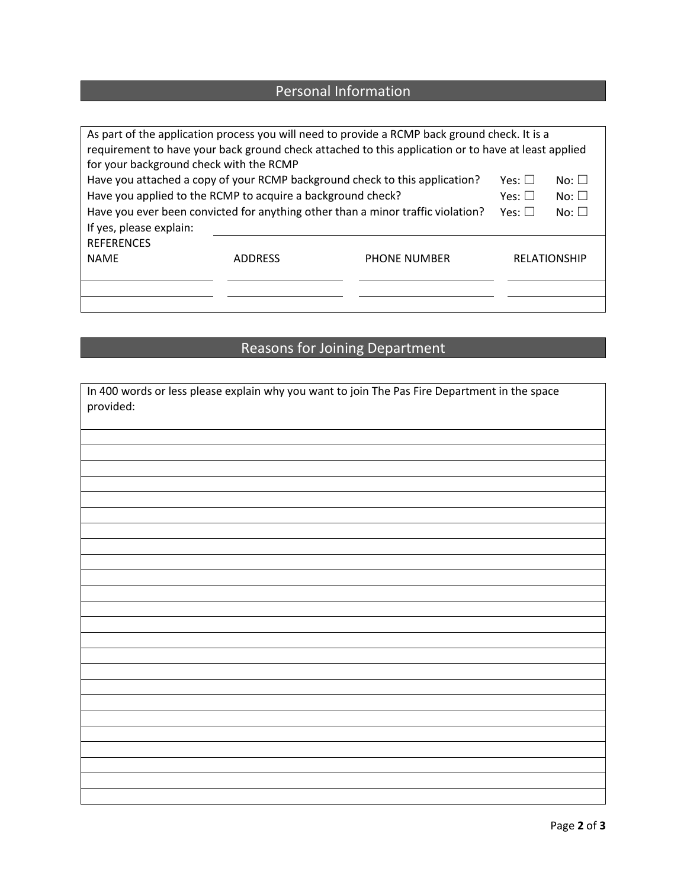### Personal Information

| As part of the application process you will need to provide a RCMP back ground check. It is a       |                                                                                 |                     |                     |            |  |
|-----------------------------------------------------------------------------------------------------|---------------------------------------------------------------------------------|---------------------|---------------------|------------|--|
| requirement to have your back ground check attached to this application or to have at least applied |                                                                                 |                     |                     |            |  |
| for your background check with the RCMP                                                             |                                                                                 |                     |                     |            |  |
| Have you attached a copy of your RCMP background check to this application?                         | Yes: $\Box$                                                                     | $No: \Box$          |                     |            |  |
| Have you applied to the RCMP to acquire a background check?                                         |                                                                                 |                     | Yes: $\square$      | $No: \Box$ |  |
|                                                                                                     | Have you ever been convicted for anything other than a minor traffic violation? |                     |                     | $No: \Box$ |  |
| If yes, please explain:                                                                             |                                                                                 |                     |                     |            |  |
| <b>REFERENCES</b>                                                                                   |                                                                                 |                     |                     |            |  |
| <b>NAME</b>                                                                                         | <b>ADDRESS</b>                                                                  | <b>PHONE NUMBER</b> | <b>RELATIONSHIP</b> |            |  |
|                                                                                                     |                                                                                 |                     |                     |            |  |
|                                                                                                     |                                                                                 |                     |                     |            |  |
|                                                                                                     |                                                                                 |                     |                     |            |  |

## Reasons for Joining Department

| In 400 words or less please explain why you want to join The Pas Fire Department in the space<br>provided: |
|------------------------------------------------------------------------------------------------------------|
|                                                                                                            |
|                                                                                                            |
|                                                                                                            |
|                                                                                                            |
|                                                                                                            |
|                                                                                                            |
|                                                                                                            |
|                                                                                                            |
|                                                                                                            |
|                                                                                                            |
|                                                                                                            |
|                                                                                                            |
|                                                                                                            |
|                                                                                                            |
|                                                                                                            |
|                                                                                                            |
|                                                                                                            |
|                                                                                                            |
|                                                                                                            |
|                                                                                                            |
|                                                                                                            |
|                                                                                                            |
|                                                                                                            |
|                                                                                                            |